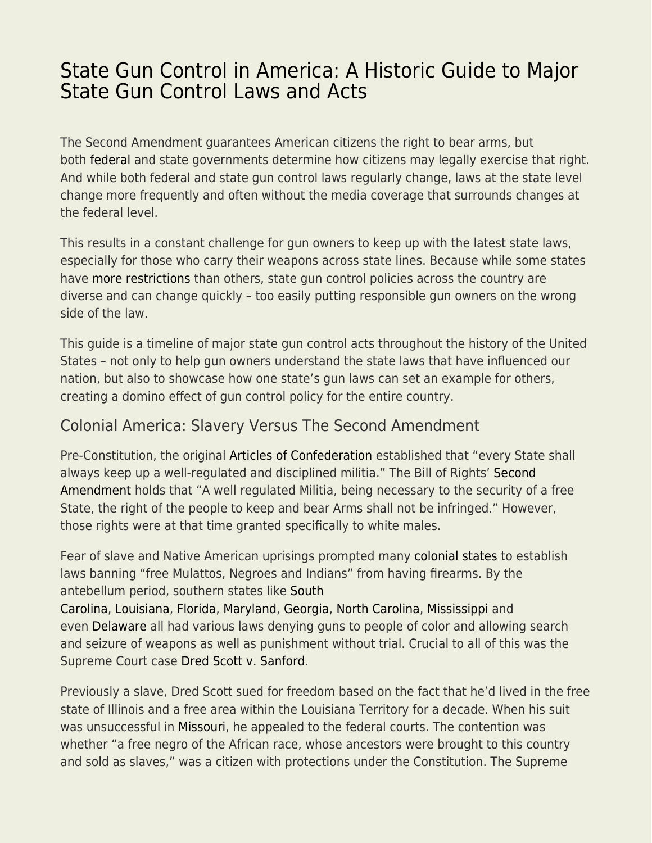## [State Gun Control in America: A Historic Guide to Major](https://everything-voluntary.com/state-gun-control-in-america-a-historic-guide-to-major-state-gun-control-laws-and-acts) [State Gun Control Laws and Acts](https://everything-voluntary.com/state-gun-control-in-america-a-historic-guide-to-major-state-gun-control-laws-and-acts)

The Second Amendment guarantees American citizens the right to bear arms, but both [federal](https://ammo.com/articles/gun-control-guide-major-federal-acts) and state governments determine how citizens may legally exercise that right. And while both federal and state gun control laws regularly change, laws at the state level change more frequently and often without the media coverage that surrounds changes at the federal level.

This results in a constant challenge for gun owners to keep up with the latest state laws, especially for those who carry their weapons across state lines. Because while some states have [more restrictions](http://www.bradycampaign.org/sites/default/files/SCGLM-Final10-spreads-points.pdf) than others, state gun control policies across the country are diverse and can change quickly – too easily putting responsible gun owners on the wrong side of the law.

This guide is a timeline of major state gun control acts throughout the history of the United States – not only to help gun owners understand the state laws that have influenced our nation, but also to showcase how one state's gun laws can set an example for others, creating a domino effect of gun control policy for the entire country.

## Colonial America: Slavery Versus The Second Amendment

Pre-Constitution, the original [Articles of Confederation](https://www.ourdocuments.gov/doc.php?flash=true&doc=3) established that "every State shall always keep up a well-regulated and disciplined militia." The Bill of Rights[' Second](https://www.constituteproject.org/constitution/United_States_of_America_1992) [Amendment](https://www.constituteproject.org/constitution/United_States_of_America_1992) holds that "A well regulated Militia, being necessary to the security of a free State, the right of the people to keep and bear Arms shall not be infringed." However, those rights were at that time granted specifically to white males.

Fear of slave and Native American uprisings prompted many [colonial states](http://www.sedgwickcounty.org/commissioners/Ranzau%20Readings/The%20Racist%20Origins%20of%20US%20Gun%20Control.pdf) to establish laws banning "free Mulattos, Negroes and Indians" from having firearms. By the antebellum period, southern states like [South](https://ammo.com/gun-laws/south-carolina-guns-ammo-2nd-amendment-overview)

[Carolina](https://ammo.com/gun-laws/south-carolina-guns-ammo-2nd-amendment-overview), [Louisiana](https://ammo.com/gun-laws/louisiana-guns-ammo-2nd-amendment-overview), [Florida,](https://ammo.com/gun-laws/florida-guns-ammo-2nd-amendment-overview) [Maryland,](https://ammo.com/gun-laws/maryland-guns-ammo-2nd-amendment-overview) [Georgia](https://ammo.com/gun-laws/georgia-guns-ammo-2nd-amendment-overview), [North Carolina](https://ammo.com/gun-laws/north-carolina-guns-ammo-2nd-amendment-overview), [Mississippi](https://ammo.com/gun-laws/mississippi-guns-ammo-2nd-amendment-overview) and even [Delaware](https://ammo.com/gun-laws/delaware-guns-ammo-2nd-amendment-overview) all had various laws denying guns to people of color and allowing search and seizure of weapons as well as punishment without trial. Crucial to all of this was the Supreme Court case [Dred Scott v. Sanford](https://www.ourdocuments.gov/doc.php?flash=true&doc=29).

Previously a slave, Dred Scott sued for freedom based on the fact that he'd lived in the free state of Illinois and a free area within the Louisiana Territory for a decade. When his suit was unsuccessful in [Missouri,](https://ammo.com/gun-laws/missouri-guns-ammo-2nd-amendment-overview) he appealed to the federal courts. The contention was whether "a free negro of the African race, whose ancestors were brought to this country and sold as slaves," was a citizen with protections under the Constitution. The Supreme